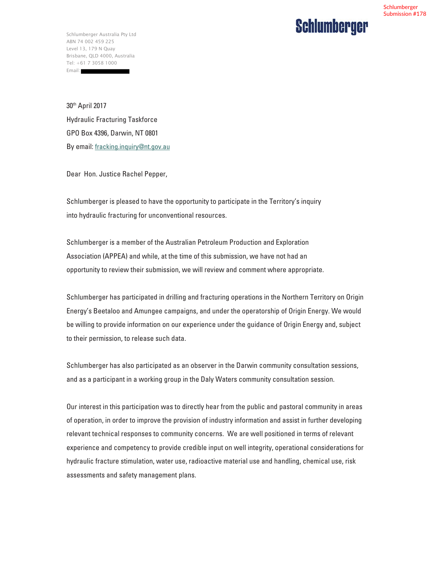#### Schlumberger Submission #178

### **Schlumberger**

Schlumberger Australia Pty Ltd ABN 74 002 459 225 Level 13, 179 N Quay Brisbane, QLD 4000, Australia Tel: +61 7 3058 1000 Email:

30th April 2017 Hydraulic Fracturing Taskforce GPO Box 4396, Darwin, NT 0801 By email: fracking.inquiry@nt.gov.au

Dear Hon. Justice Rachel Pepper,

Schlumberger is pleased to have the opportunity to participate in the Territory's inquiry into hydraulic fracturing for unconventional resources.

Schlumberger is a member of the Australian Petroleum Production and Exploration Association (APPEA) and while, at the time of this submission, we have not had an opportunity to review their submission, we will review and comment where appropriate.

Schlumberger has participated in drilling and fracturing operations in the Northern Territory on Origin Energy's Beetaloo and Amungee campaigns, and under the operatorship of Origin Energy. We would be willing to provide information on our experience under the guidance of Origin Energy and, subject to their permission, to release such data.

Schlumberger has also participated as an observer in the Darwin community consultation sessions, and as a participant in a working group in the Daly Waters community consultation session.

Our interest in this participation was to directly hear from the public and pastoral community in areas of operation, in order to improve the provision of industry information and assist in further developing relevant technical responses to community concerns. We are well positioned in terms of relevant experience and competency to provide credible input on well integrity, operational considerations for hydraulic fracture stimulation, water use, radioactive material use and handling, chemical use, risk assessments and safety management plans.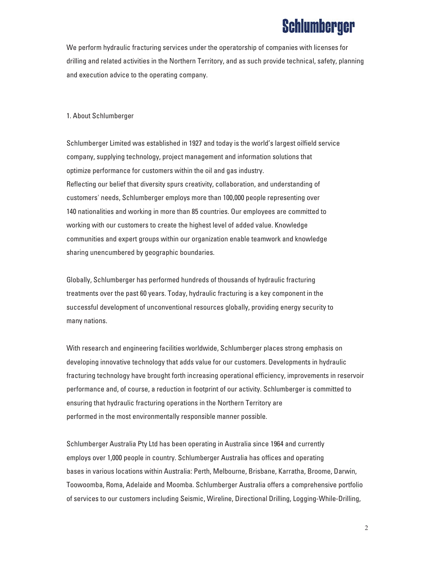We perform hydraulic fracturing services under the operatorship of companies with licenses for drilling and related activities in the Northern Territory, and as such provide technical, safety, planning and execution advice to the operating company.

#### 1. About Schlumberger

Schlumberger Limited was established in 1927 and today is the world's largest oilfield service company, supplying technology, project management and information solutions that optimize performance for customers within the oil and gas industry. Reflecting our belief that diversity spurs creativity, collaboration, and understanding of customers' needs, Schlumberger employs more than 100,000 people representing over 140 nationalities and working in more than 85 countries. Our employees are committed to working with our customers to create the highest level of added value. Knowledge communities and expert groups within our organization enable teamwork and knowledge sharing unencumbered by geographic boundaries.

Globally, Schlumberger has performed hundreds of thousands of hydraulic fracturing treatments over the past 60 years. Today, hydraulic fracturing is a key component in the successful development of unconventional resources globally, providing energy security to many nations.

With research and engineering facilities worldwide, Schlumberger places strong emphasis on developing innovative technology that adds value for our customers. Developments in hydraulic fracturing technology have brought forth increasing operational efficiency, improvements in reservoir performance and, of course, a reduction in footprint of our activity. Schlumberger is committed to ensuring that hydraulic fracturing operations in the Northern Territory are performed in the most environmentally responsible manner possible.

Schlumberger Australia Pty Ltd has been operating in Australia since 1964 and currently employs over 1,000 people in country. Schlumberger Australia has offices and operating bases in various locations within Australia: Perth, Melbourne, Brisbane, Karratha, Broome, Darwin, Toowoomba, Roma, Adelaide and Moomba. Schlumberger Australia offers a comprehensive portfolio of services to our customers including Seismic, Wireline, Directional Drilling, Logging-While-Drilling,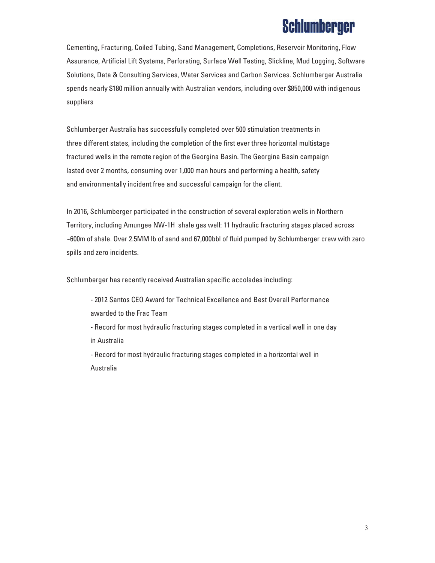Cementing, Fracturing, Coiled Tubing, Sand Management, Completions, Reservoir Monitoring, Flow Assurance, Artificial Lift Systems, Perforating, Surface Well Testing, Slickline, Mud Logging, Software Solutions, Data & Consulting Services, Water Services and Carbon Services. Schlumberger Australia spends nearly \$180 million annually with Australian vendors, including over \$850,000 with indigenous suppliers

Schlumberger Australia has successfully completed over 500 stimulation treatments in three different states, including the completion of the first ever three horizontal multistage fractured wells in the remote region of the Georgina Basin. The Georgina Basin campaign lasted over 2 months, consuming over 1,000 man hours and performing a health, safety and environmentally incident free and successful campaign for the client.

In 2016, Schlumberger participated in the construction of several exploration wells in Northern Territory, including Amungee NW-1H shale gas well: 11 hydraulic fracturing stages placed across ~600m of shale. Over 2.5MM lb of sand and 67,000bbl of fluid pumped by Schlumberger crew with zero spills and zero incidents.

Schlumberger has recently received Australian specific accolades including:

- 2012 Santos CEO Award for Technical Excellence and Best Overall Performance awarded to the Frac Team
- Record for most hydraulic fracturing stages completed in a vertical well in one day in Australia
- Record for most hydraulic fracturing stages completed in a horizontal well in Australia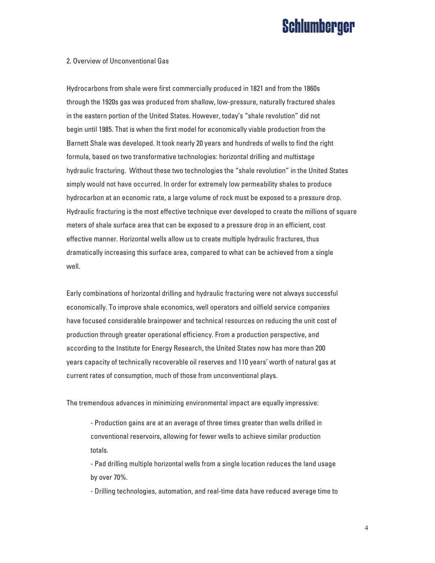#### 2. Overview of Unconventional Gas

Hydrocarbons from shale were first commercially produced in 1821 and from the 1860s through the 1920s gas was produced from shallow, low-pressure, naturally fractured shales in the eastern portion of the United States. However, today's "shale revolution" did not begin until 1985. That is when the first model for economically viable production from the Barnett Shale was developed. It took nearly 20 years and hundreds of wells to find the right formula, based on two transformative technologies: horizontal drilling and multistage hydraulic fracturing. Without these two technologies the "shale revolution" in the United States simply would not have occurred. In order for extremely low permeability shales to produce hydrocarbon at an economic rate, a large volume of rock must be exposed to a pressure drop. Hydraulic fracturing is the most effective technique ever developed to create the millions of square meters of shale surface area that can be exposed to a pressure drop in an efficient, cost effective manner. Horizontal wells allow us to create multiple hydraulic fractures, thus dramatically increasing this surface area, compared to what can be achieved from a single well.

Early combinations of horizontal drilling and hydraulic fracturing were not always successful economically. To improve shale economics, well operators and oilfield service companies have focused considerable brainpower and technical resources on reducing the unit cost of production through greater operational efficiency. From a production perspective, and according to the Institute for Energy Research, the United States now has more than 200 years capacity of technically recoverable oil reserves and 110 years' worth of natural gas at current rates of consumption, much of those from unconventional plays.

The tremendous advances in minimizing environmental impact are equally impressive:

- Production gains are at an average of three times greater than wells drilled in conventional reservoirs, allowing for fewer wells to achieve similar production totals.

- Pad drilling multiple horizontal wells from a single location reduces the land usage by over 70%.

- Drilling technologies, automation, and real-time data have reduced average time to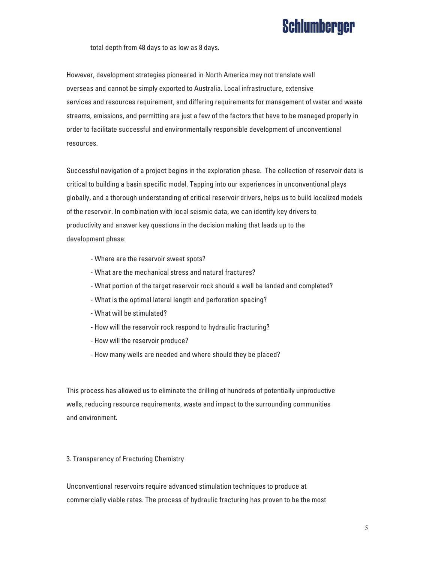total depth from 48 days to as low as 8 days.

However, development strategies pioneered in North America may not translate well overseas and cannot be simply exported to Australia. Local infrastructure, extensive services and resources requirement, and differing requirements for management of water and waste streams, emissions, and permitting are just a few of the factors that have to be managed properly in order to facilitate successful and environmentally responsible development of unconventional resources.

Successful navigation of a project begins in the exploration phase. The collection of reservoir data is critical to building a basin specific model. Tapping into our experiences in unconventional plays globally, and a thorough understanding of critical reservoir drivers, helps us to build localized models of the reservoir. In combination with local seismic data, we can identify key drivers to productivity and answer key questions in the decision making that leads up to the development phase:

- Where are the reservoir sweet spots?
- What are the mechanical stress and natural fractures?
- What portion of the target reservoir rock should a well be landed and completed?
- What is the optimal lateral length and perforation spacing?
- What will be stimulated?
- How will the reservoir rock respond to hydraulic fracturing?
- How will the reservoir produce?
- How many wells are needed and where should they be placed?

This process has allowed us to eliminate the drilling of hundreds of potentially unproductive wells, reducing resource requirements, waste and impact to the surrounding communities and environment.

3. Transparency of Fracturing Chemistry

Unconventional reservoirs require advanced stimulation techniques to produce at commercially viable rates. The process of hydraulic fracturing has proven to be the most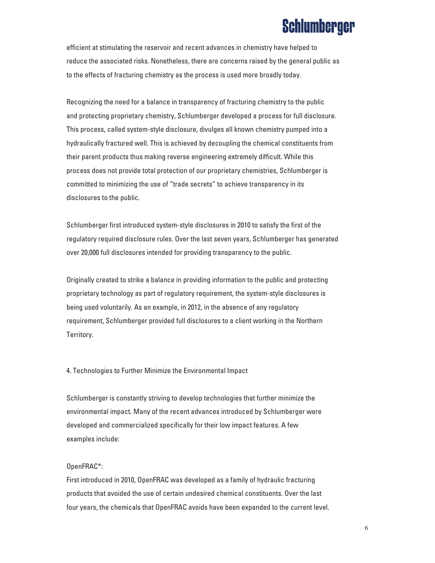efficient at stimulating the reservoir and recent advances in chemistry have helped to reduce the associated risks. Nonetheless, there are concerns raised by the general public as to the effects of fracturing chemistry as the process is used more broadly today.

Recognizing the need for a balance in transparency of fracturing chemistry to the public and protecting proprietary chemistry, Schlumberger developed a process for full disclosure. This process, called system-style disclosure, divulges all known chemistry pumped into a hydraulically fractured well. This is achieved by decoupling the chemical constituents from their parent products thus making reverse engineering extremely difficult. While this process does not provide total protection of our proprietary chemistries, Schlumberger is committed to minimizing the use of "trade secrets" to achieve transparency in its disclosures to the public.

Schlumberger first introduced system-style disclosures in 2010 to satisfy the first of the regulatory required disclosure rules. Over the last seven years, Schlumberger has generated over 20,000 full disclosures intended for providing transparency to the public.

Originally created to strike a balance in providing information to the public and protecting proprietary technology as part of regulatory requirement, the system-style disclosures is being used voluntarily. As an example, in 2012, in the absence of any regulatory requirement, Schlumberger provided full disclosures to a client working in the Northern Territory.

4. Technologies to Further Minimize the Environmental Impact

Schlumberger is constantly striving to develop technologies that further minimize the environmental impact. Many of the recent advances introduced by Schlumberger were developed and commercialized specifically for their low impact features. A few examples include:

#### OpenFRAC\*:

First introduced in 2010, OpenFRAC was developed as a family of hydraulic fracturing products that avoided the use of certain undesired chemical constituents. Over the last four years, the chemicals that OpenFRAC avoids have been expanded to the current level.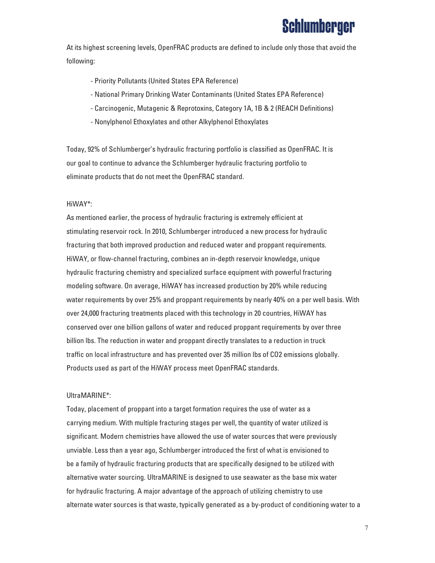At its highest screening levels, OpenFRAC products are defined to include only those that avoid the following:

- Priority Pollutants (United States EPA Reference)
- National Primary Drinking Water Contaminants (United States EPA Reference)
- Carcinogenic, Mutagenic & Reprotoxins, Category 1A, 1B & 2 (REACH Definitions)
- Nonylphenol Ethoxylates and other Alkylphenol Ethoxylates

Today, 92% of Schlumberger's hydraulic fracturing portfolio is classified as OpenFRAC. It is our goal to continue to advance the Schlumberger hydraulic fracturing portfolio to eliminate products that do not meet the OpenFRAC standard.

#### HiWAY\*:

As mentioned earlier, the process of hydraulic fracturing is extremely efficient at stimulating reservoir rock. In 2010, Schlumberger introduced a new process for hydraulic fracturing that both improved production and reduced water and proppant requirements. HiWAY, or flow-channel fracturing, combines an in-depth reservoir knowledge, unique hydraulic fracturing chemistry and specialized surface equipment with powerful fracturing modeling software. On average, HiWAY has increased production by 20% while reducing water requirements by over 25% and proppant requirements by nearly 40% on a per well basis. With over 24,000 fracturing treatments placed with this technology in 20 countries, HiWAY has conserved over one billion gallons of water and reduced proppant requirements by over three billion lbs. The reduction in water and proppant directly translates to a reduction in truck traffic on local infrastructure and has prevented over 35 million lbs of CO2 emissions globally. Products used as part of the HiWAY process meet OpenFRAC standards.

#### UltraMARINE\*:

Today, placement of proppant into a target formation requires the use of water as a carrying medium. With multiple fracturing stages per well, the quantity of water utilized is significant. Modern chemistries have allowed the use of water sources that were previously unviable. Less than a year ago, Schlumberger introduced the first of what is envisioned to be a family of hydraulic fracturing products that are specifically designed to be utilized with alternative water sourcing. UltraMARINE is designed to use seawater as the base mix water for hydraulic fracturing. A major advantage of the approach of utilizing chemistry to use alternate water sources is that waste, typically generated as a by-product of conditioning water to a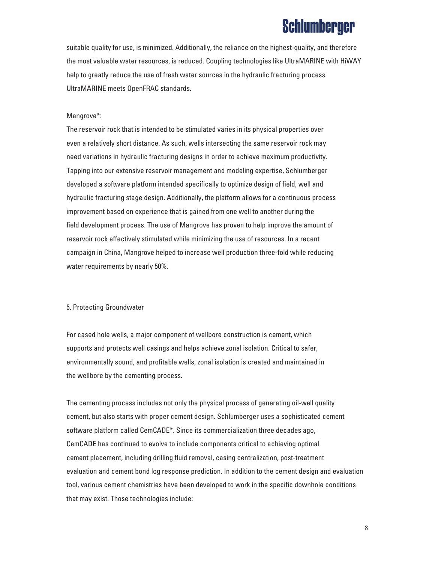suitable quality for use, is minimized. Additionally, the reliance on the highest-quality, and therefore the most valuable water resources, is reduced. Coupling technologies like UltraMARINE with HiWAY help to greatly reduce the use of fresh water sources in the hydraulic fracturing process. UltraMARINE meets OpenFRAC standards.

#### Mangrove\*:

The reservoir rock that is intended to be stimulated varies in its physical properties over even a relatively short distance. As such, wells intersecting the same reservoir rock may need variations in hydraulic fracturing designs in order to achieve maximum productivity. Tapping into our extensive reservoir management and modeling expertise, Schlumberger developed a software platform intended specifically to optimize design of field, well and hydraulic fracturing stage design. Additionally, the platform allows for a continuous process improvement based on experience that is gained from one well to another during the field development process. The use of Mangrove has proven to help improve the amount of reservoir rock effectively stimulated while minimizing the use of resources. In a recent campaign in China, Mangrove helped to increase well production three-fold while reducing water requirements by nearly 50%.

#### 5. Protecting Groundwater

For cased hole wells, a major component of wellbore construction is cement, which supports and protects well casings and helps achieve zonal isolation. Critical to safer, environmentally sound, and profitable wells, zonal isolation is created and maintained in the wellbore by the cementing process.

The cementing process includes not only the physical process of generating oil-well quality cement, but also starts with proper cement design. Schlumberger uses a sophisticated cement software platform called CemCADE\*. Since its commercialization three decades ago, CemCADE has continued to evolve to include components critical to achieving optimal cement placement, including drilling fluid removal, casing centralization, post-treatment evaluation and cement bond log response prediction. In addition to the cement design and evaluation tool, various cement chemistries have been developed to work in the specific downhole conditions that may exist. Those technologies include: